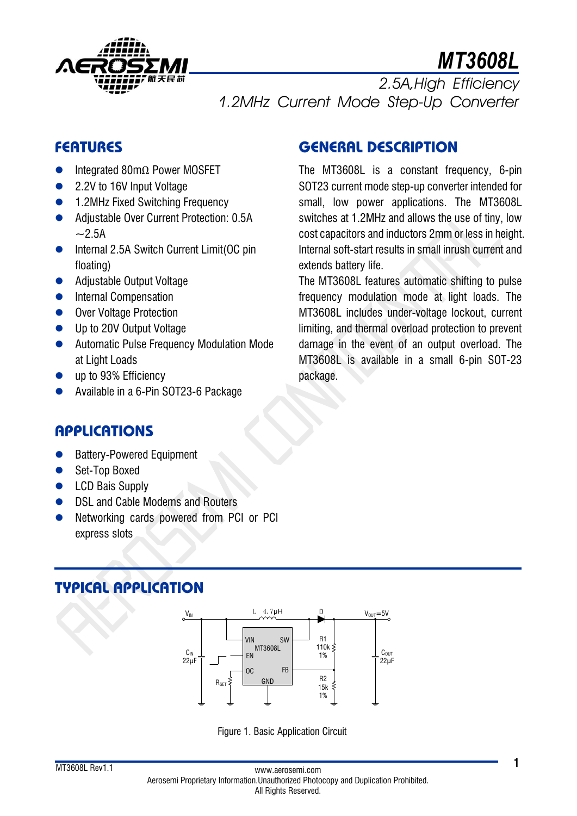

# *MT3608L*

*2.5A,High Efficiency 1.2MHz Current Mode Step-Up Converter*

## **FEATURES**

- ⚫ Integrated 80mΩ Power MOSFET
- 2.2V to 16V Input Voltage
- 1.2MHz Fixed Switching Frequency
- Adjustable Over Current Protection: 0.5A  $~2.5A$
- Internal 2.5A Switch Current Limit(OC pin floating)
- Adjustable Output Voltage
- Internal Compensation
- Over Voltage Protection
- Up to 20V Output Voltage
- Automatic Pulse Frequency Modulation Mode at Light Loads
- up to 93% Efficiency
- ⚫ Available in a 6-Pin SOT23-6 Package

## **GENERAL DESCRIPTION**

The MT3608L is a constant frequency, 6-pin SOT23 current mode step-up converter intended for small, low power applications. The MT3608L switches at 1.2MHz and allows the use of tiny, low cost capacitors and inductors 2mm or less in height. Internal soft-start results in small inrush current and extends battery life.

The MT3608L features automatic shifting to pulse frequency modulation mode at light loads. The MT3608L includes under-voltage lockout, current limiting, and thermal overload protection to prevent damage in the event of an output overload. The MT3608L is available in a small 6-pin SOT-23 package.

## **APPLICATIONS**

- Battery-Powered Equipment
- Set-Top Boxed
- LCD Bais Supply
- DSL and Cable Modems and Routers
- Networking cards powered from PCI or PCI express slots

## **TYPICAL APPLICATION**



Figure 1. Basic Application Circuit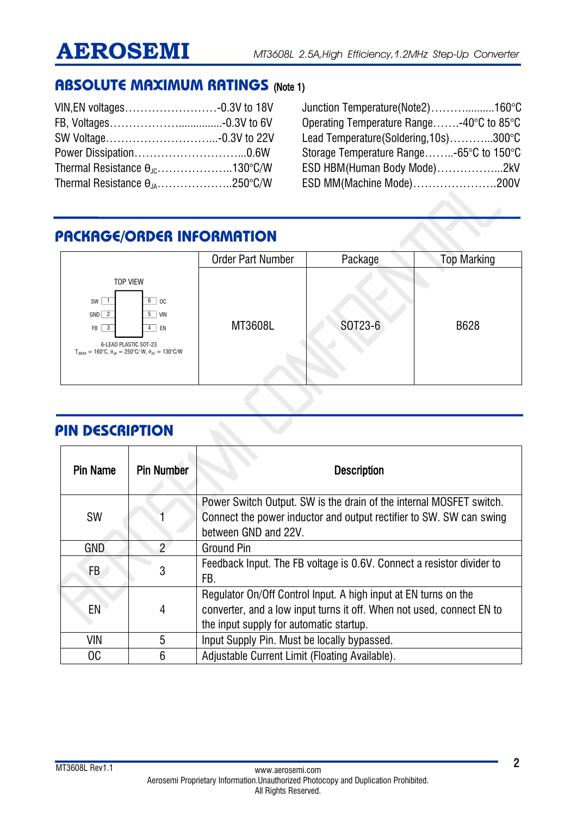## **ABSOLUTE MAXIMUM RATINGS** (Note 1)

| Thermal Resistance $\theta_{\text{JC}}$ 130°C/W |  |
|-------------------------------------------------|--|
| Thermal Resistance $\theta_{1A}$ 250°C/W        |  |

Junction Temperature(Note2)………..........160°C Operating Temperature Range…….-40°C to 85°C Lead Temperature(Soldering,10s)………...300°C Storage Temperature Range……..-65°C to 150°C ESD HBM(Human Body Mode)……………...2kV ESD MM(Machine Mode)………………….200V

## **PACKAGE/ORDER INFORMATION**

|                                                                                                                                                                                                                                           | <b>Order Part Number</b> | Package | <b>Top Marking</b> |
|-------------------------------------------------------------------------------------------------------------------------------------------------------------------------------------------------------------------------------------------|--------------------------|---------|--------------------|
| <b>TOP VIEW</b><br>6<br>$SW$   1<br>OC<br>$GND$ $2$<br>$5-1$<br>VIN<br>$\overline{\mathbf{3}}$<br>FB  <br>EN<br>4<br>6-LEAD PLASTIC SOT-23<br>$T_{JMAX} = 160^{\circ}C$ , $\theta_{JA} = 250^{\circ}C/W$ , $\theta_{JC} = 130^{\circ}C/W$ | MT3608L                  | SOT23-6 | B628               |

## **PIN DESCRIPTION**

| <b>Pin Name</b> | <b>Pin Number</b> | <b>Description</b>                                                                                                                                                                  |
|-----------------|-------------------|-------------------------------------------------------------------------------------------------------------------------------------------------------------------------------------|
| <b>SW</b>       |                   | Power Switch Output. SW is the drain of the internal MOSFET switch.<br>Connect the power inductor and output rectifier to SW. SW can swing<br>between GND and 22V.                  |
| <b>GND</b>      | 2                 | <b>Ground Pin</b>                                                                                                                                                                   |
| FB              | 3                 | Feedback Input. The FB voltage is 0.6V. Connect a resistor divider to<br>FB.                                                                                                        |
| EN              | 4                 | Regulator On/Off Control Input. A high input at EN turns on the<br>converter, and a low input turns it off. When not used, connect EN to<br>the input supply for automatic startup. |
| VIN             | 5                 | Input Supply Pin. Must be locally bypassed.                                                                                                                                         |
| OC              | 6                 | Adjustable Current Limit (Floating Available).                                                                                                                                      |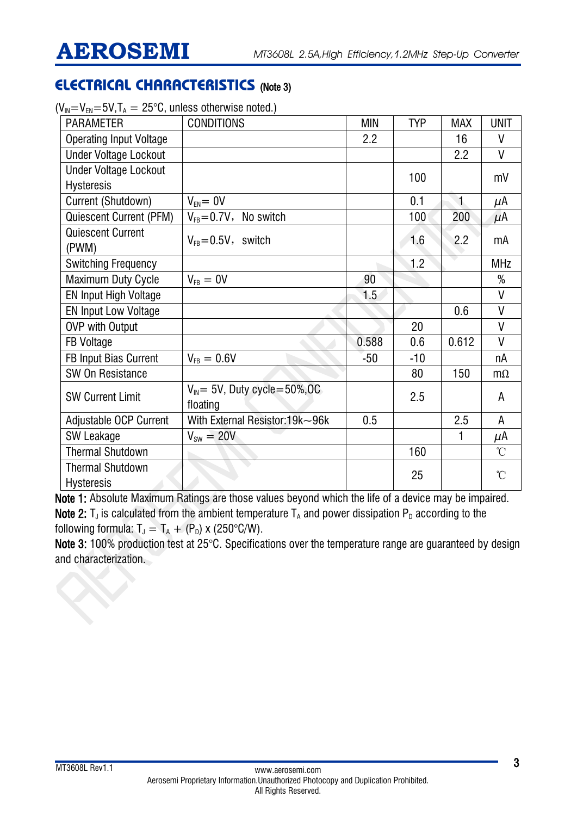## **ELECTRICAL CHARACTERISTICS** (Note 3)

| <b>PARAMETER</b>                             | <b>CONDITIONS</b>                               | <b>MIN</b> | <b>TYP</b> | <b>MAX</b>   | <b>UNIT</b>     |
|----------------------------------------------|-------------------------------------------------|------------|------------|--------------|-----------------|
| <b>Operating Input Voltage</b>               |                                                 | 2.2        |            | 16           | V               |
| <b>Under Voltage Lockout</b>                 |                                                 |            |            | 2.2          | V               |
| <b>Under Voltage Lockout</b>                 |                                                 |            | 100        |              | mV              |
| <b>Hysteresis</b>                            |                                                 |            |            |              |                 |
| Current (Shutdown)                           | $V_{FN} = 0V$                                   |            | 0.1        | $\mathbf{1}$ | $\mu$ A         |
| <b>Quiescent Current (PFM)</b>               | $V_{FB} = 0.7V$ , No switch                     |            | 100        | 200          | $\mu$ A         |
| <b>Quiescent Current</b><br>(PWM)            | $V_{FB} = 0.5V$ , switch                        |            | 1.6        | 2.2          | mA              |
| <b>Switching Frequency</b>                   |                                                 |            | 1.2        |              | <b>MHz</b>      |
| <b>Maximum Duty Cycle</b>                    | $V_{FB} = 0V$                                   | 90         |            |              | %               |
| EN Input High Voltage                        |                                                 | 1.5        |            |              | $\mathsf{V}$    |
| <b>EN Input Low Voltage</b>                  |                                                 |            |            | 0.6          | V               |
| <b>OVP with Output</b>                       |                                                 |            | 20         |              | $\mathsf{V}$    |
| <b>FB Voltage</b>                            |                                                 | 0.588      | 0.6        | 0.612        | $\mathsf{V}$    |
| FB Input Bias Current                        | $V_{FB} = 0.6V$                                 | $-50$      | $-10$      |              | nA              |
| SW On Resistance                             |                                                 |            | 80         | 150          | $m\Omega$       |
| <b>SW Current Limit</b>                      | $V_{IN}$ = 5V, Duty cycle = 50%, OC<br>floating |            | 2.5        |              | A               |
| Adjustable OCP Current                       | With External Resistor: 19k~96k                 | 0.5        |            | 2.5          | A               |
| SW Leakage                                   | $V_{sw} = 20V$                                  |            |            |              | μΑ              |
| <b>Thermal Shutdown</b>                      |                                                 |            | 160        |              | $\rm ^{\circ}C$ |
| <b>Thermal Shutdown</b><br><b>Hysteresis</b> |                                                 |            | 25         |              | $\rm ^{\circ}C$ |

 $(V_{IN}=V_{EN}=5V,T_A=25^{\circ}C$ , unless otherwise noted.)

Note 1: Absolute Maximum Ratings are those values beyond which the life of a device may be impaired. Note 2: T<sub>J</sub> is calculated from the ambient temperature T<sub>A</sub> and power dissipation P<sub>D</sub> according to the following formula:  $T_J = T_A + (P_D) \times (250^{\circ}C/W)$ .

Note 3: 100% production test at 25°C. Specifications over the temperature range are guaranteed by design and characterization.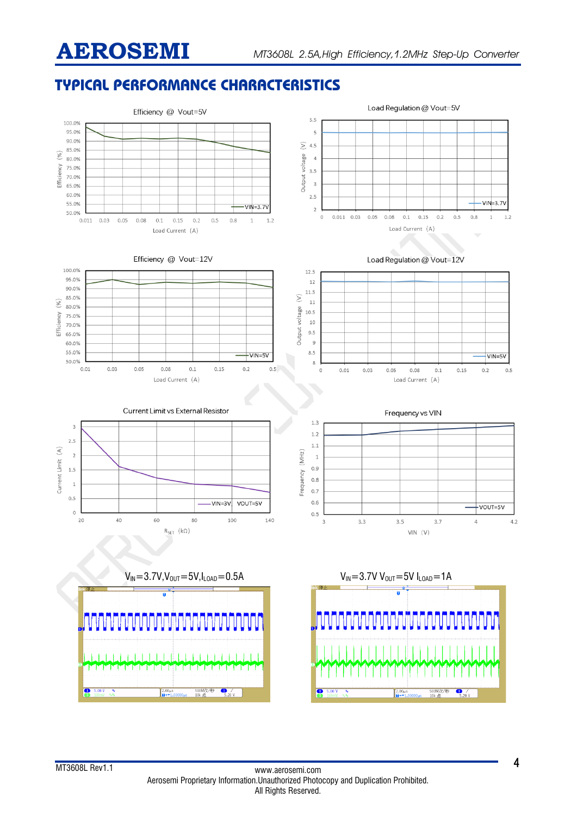## **TYPICAL PERFORMANCE CHARACTERISTICS**

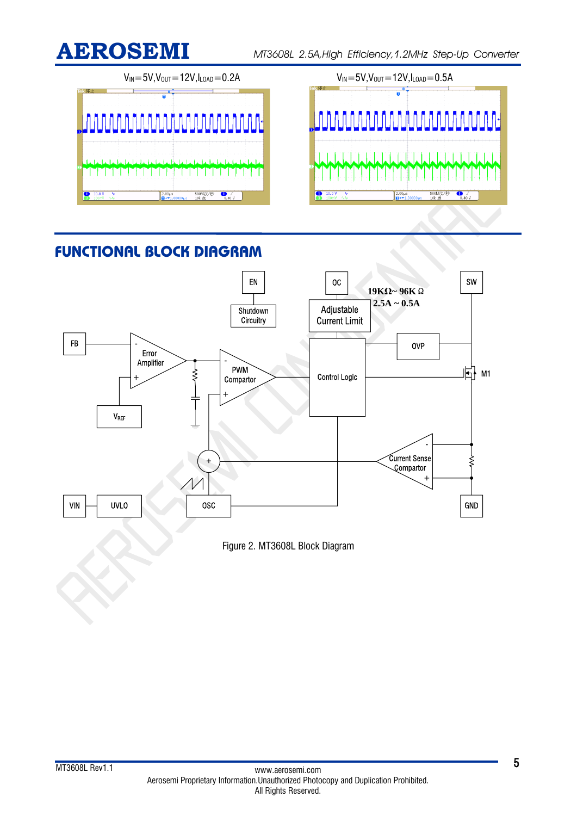

**AEROSEMI** *MT3608L 2.5A,High Efficiency,1.2MHz Step-Up Converter*



## **FUNCTIONAL BLOCK DIAGRAM**



Figure 2. MT3608L Block Diagram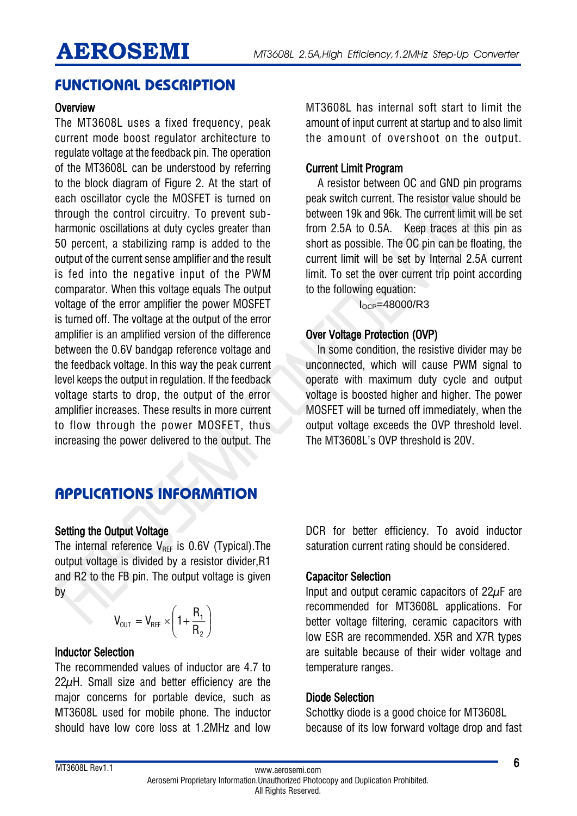## **FUNCTIONAL DESCRIPTION**

#### **Overview**

The MT3608L uses a fixed frequency, peak current mode boost regulator architecture to regulate voltage at the feedback pin. The operation of the MT3608L can be understood by referring to the block diagram of Figure 2. At the start of each oscillator cycle the MOSFET is turned on through the control circuitry. To prevent subharmonic oscillations at duty cycles greater than 50 percent, a stabilizing ramp is added to the output of the current sense amplifier and the result is fed into the negative input of the PWM comparator. When this voltage equals The output voltage of the error amplifier the power MOSFET is turned off. The voltage at the output of the error amplifier is an amplified version of the difference between the 0.6V bandgap reference voltage and the feedback voltage. In this way the peak current level keeps the output in regulation. If the feedback voltage starts to drop, the output of the error amplifier increases. These results in more current to flow through the power MOSFET, thus increasing the power delivered to the output. The

## **APPLICATIONS INFORMATION**

### Setting the Output Voltage

The internal reference  $V_{\text{REF}}$  is 0.6V (Typical). The output voltage is divided by a resistor divider,R1 and R2 to the FB pin. The output voltage is given by

$$
V_{\text{OUT}} = V_{\text{REF}} \times \left(1 + \frac{R_1}{R_2}\right)
$$

#### Inductor Selection

The recommended values of inductor are 4.7 to 22μH. Small size and better efficiency are the major concerns for portable device, such as MT3608L used for mobile phone. The inductor should have low core loss at 1.2MHz and low

MT3608L has internal soft start to limit the amount of input current at startup and to also limit the amount of overshoot on the output.

### Current Limit Program

A resistor between OC and GND pin programs peak switch current. The resistor value should be between 19k and 96k. The current limit will be set from 2.5A to 0.5A. Keep traces at this pin as short as possible. The OC pin can be floating, the current limit will be set by Internal 2.5A current limit. To set the over current trip point according to the following equation:

 $I<sub>OCP</sub>=48000/R3$ 

### Over Voltage Protection (OVP)

In some condition, the resistive divider may be unconnected, which will cause PWM signal to operate with maximum duty cycle and output voltage is boosted higher and higher. The power MOSFET will be turned off immediately, when the output voltage exceeds the OVP threshold level. The MT3608L's OVP threshold is 20V.

DCR for better efficiency. To avoid inductor saturation current rating should be considered.

### Capacitor Selection

Input and output ceramic capacitors of 22μF are recommended for MT3608L applications. For better voltage filtering, ceramic capacitors with low ESR are recommended. X5R and X7R types are suitable because of their wider voltage and temperature ranges.

### Diode Selection

Schottky diode is a good choice for MT3608L because of its low forward voltage drop and fast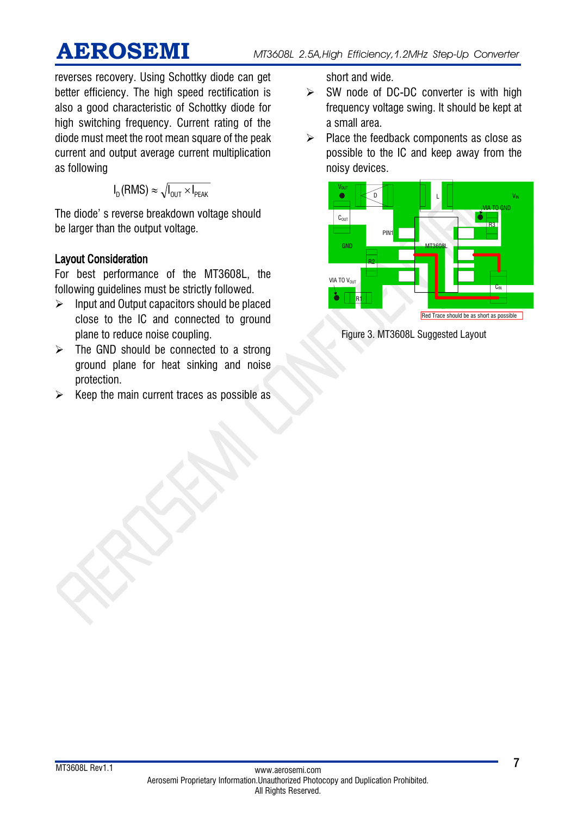reverses recovery. Using Schottky diode can get better efficiency. The high speed rectification is also a good characteristic of Schottky diode for high switching frequency. Current rating of the diode must meet the root mean square of the peak current and output average current multiplication as following

$$
I_D(\text{RMS}) \approx \sqrt{I_{\text{OUT}} \times I_{\text{PEAK}}}
$$

The diode' s reverse breakdown voltage should be larger than the output voltage.

### Layout Consideration

For best performance of the MT3608L, the following guidelines must be strictly followed.

- ➢ Input and Output capacitors should be placed close to the IC and connected to ground plane to reduce noise coupling.
- $\triangleright$  The GND should be connected to a strong ground plane for heat sinking and noise protection.
- $\triangleright$  Keep the main current traces as possible as

short and wide.

- $\triangleright$  SW node of DC-DC converter is with high frequency voltage swing. It should be kept at a small area.
- ➢ Place the feedback components as close as possible to the IC and keep away from the noisy devices.



Figure 3. MT3608L Suggested Layout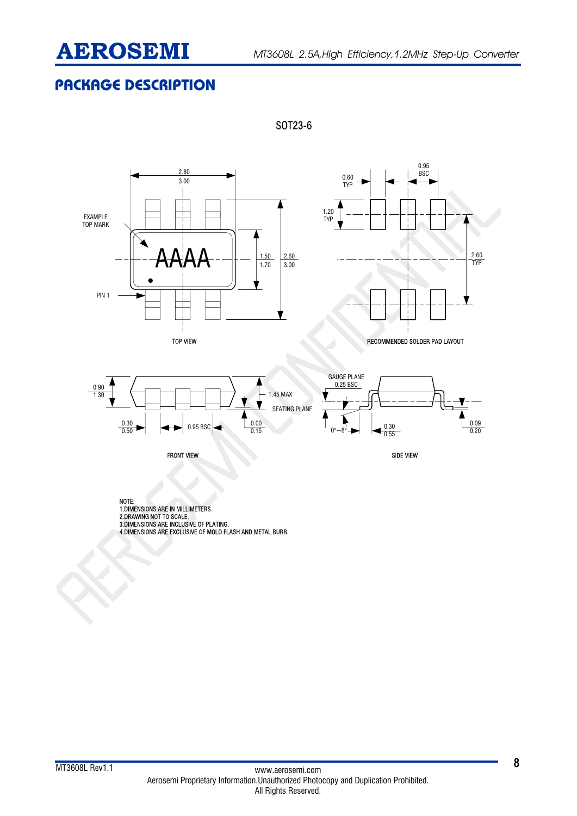

## **PACKAGE DESCRIPTION**



SOT23-6





2.60 TYP

NOTE:<br>1.DIMENSIONS ARE IN MILLIMETERS.<br>2.DRAWING NOT TO SCALE.<br>3.DIMENSIONS ARE INCLUSIVE OF PLATING.<br>4.DIMENSIONS ARE EXCLUSIVE OF MOLD FLASH AND METAL BURR.